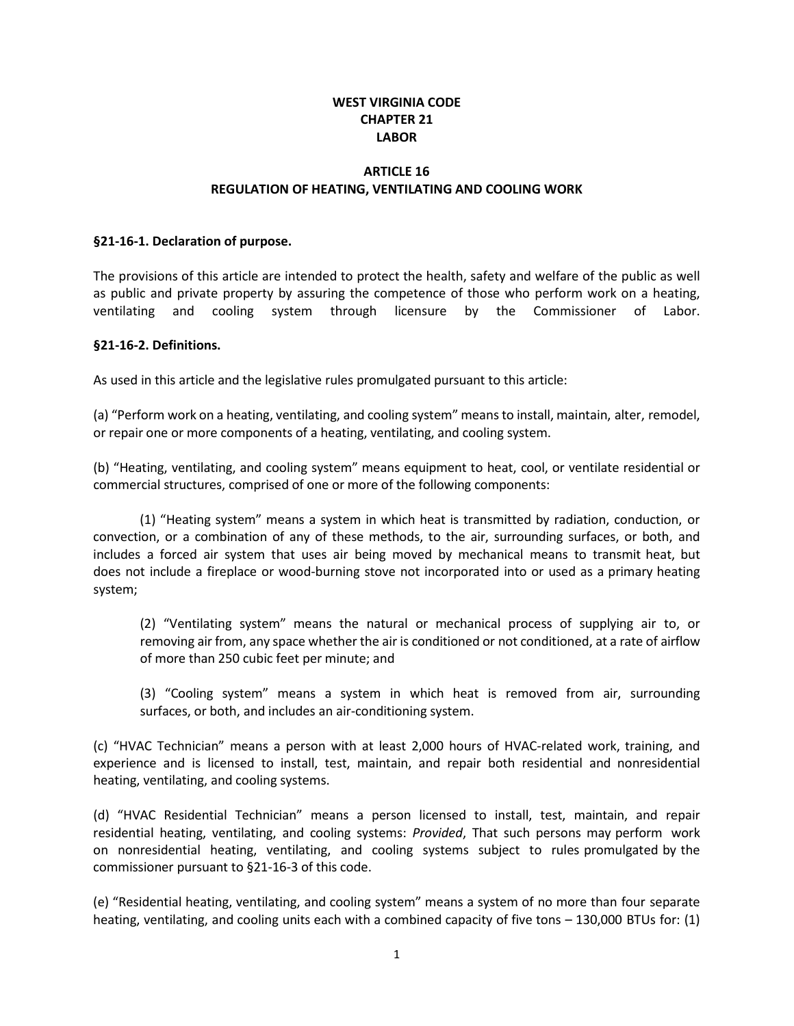# **WEST VIRGINIA CODE CHAPTER 21 LABOR**

## **ARTICLE 16 REGULATION OF HEATING, VENTILATING AND COOLING WORK**

#### **§21-16-1. Declaration of purpose.**

The provisions of this article are intended to protect the health, safety and welfare of the public as well as public and private property by assuring the competence of those who perform work on a heating, ventilating and cooling system through licensure by the Commissioner of Labor.

#### **§21-16-2. Definitions.**

As used in this article and the legislative rules promulgated pursuant to this article:

(a) "Perform work on a heating, ventilating, and cooling system" meansto install, maintain, alter, remodel, or repair one or more components of a heating, ventilating, and cooling system.

(b) "Heating, ventilating, and cooling system" means equipment to heat, cool, or ventilate residential or commercial structures, comprised of one or more of the following components:

(1) "Heating system" means a system in which heat is transmitted by radiation, conduction, or convection, or a combination of any of these methods, to the air, surrounding surfaces, or both, and includes a forced air system that uses air being moved by mechanical means to transmit heat, but does not include a fireplace or wood-burning stove not incorporated into or used as a primary heating system;

(2) "Ventilating system" means the natural or mechanical process of supplying air to, or removing air from, any space whether the air is conditioned or not conditioned, at a rate of airflow of more than 250 cubic feet per minute; and

(3) "Cooling system" means a system in which heat is removed from air, surrounding surfaces, or both, and includes an air-conditioning system.

(c) "HVAC Technician" means a person with at least 2,000 hours of HVAC-related work, training, and experience and is licensed to install, test, maintain, and repair both residential and nonresidential heating, ventilating, and cooling systems.

(d) "HVAC Residential Technician" means a person licensed to install, test, maintain, and repair residential heating, ventilating, and cooling systems: *Provided*, That such persons may perform work on nonresidential heating, ventilating, and cooling systems subject to rules promulgated by the commissioner pursuant to §21-16-3 of this code.

(e) "Residential heating, ventilating, and cooling system" means a system of no more than four separate heating, ventilating, and cooling units each with a combined capacity of five tons – 130,000 BTUs for: (1)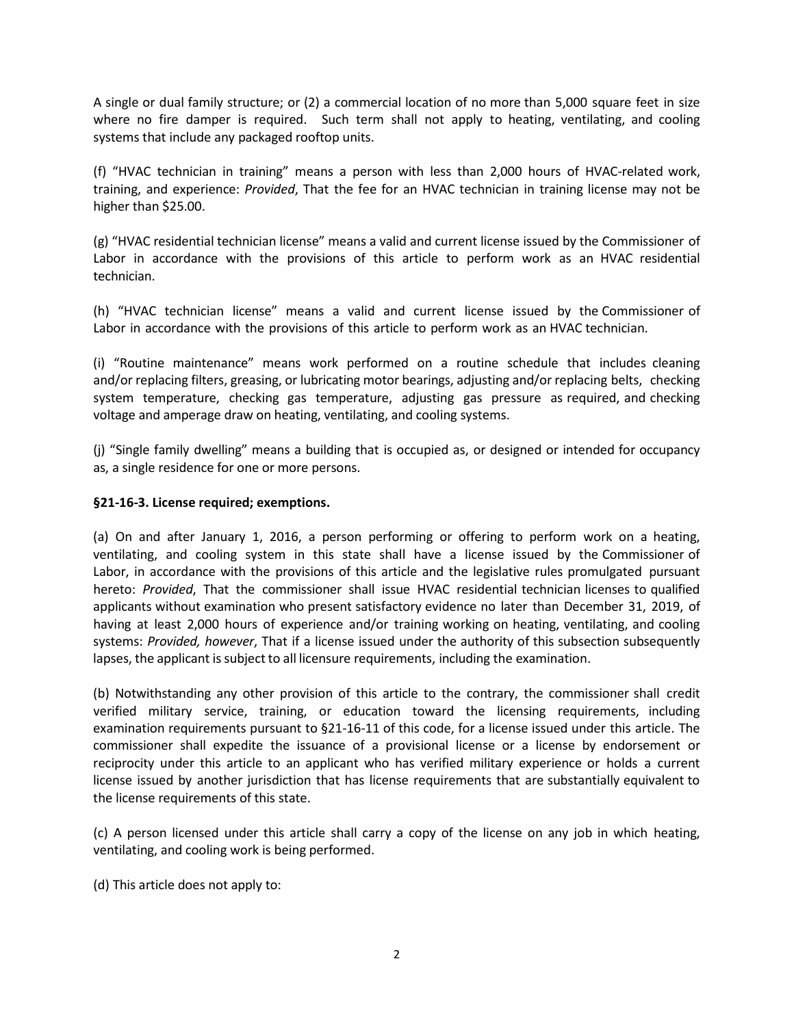A single or dual family structure; or (2) a commercial location of no more than 5,000 square feet in size where no fire damper is required. Such term shall not apply to heating, ventilating, and cooling systems that include any packaged rooftop units.

(f) "HVAC technician in training" means a person with less than 2,000 hours of HVAC-related work, training, and experience: *Provided*, That the fee for an HVAC technician in training license may not be higher than \$25.00.

(g) "HVAC residential technician license" means a valid and current license issued by the Commissioner of Labor in accordance with the provisions of this article to perform work as an HVAC residential technician.

(h) "HVAC technician license" means a valid and current license issued by the Commissioner of Labor in accordance with the provisions of this article to perform work as an HVAC technician.

(i) "Routine maintenance" means work performed on a routine schedule that includes cleaning and/or replacing filters, greasing, or lubricating motor bearings, adjusting and/or replacing belts, checking system temperature, checking gas temperature, adjusting gas pressure as required, and checking voltage and amperage draw on heating, ventilating, and cooling systems.

(j) "Single family dwelling" means a building that is occupied as, or designed or intended for occupancy as, a single residence for one or more persons.

### **§21-16-3. License required; exemptions.**

(a) On and after January 1, 2016, a person performing or offering to perform work on a heating, ventilating, and cooling system in this state shall have a license issued by the Commissioner of Labor, in accordance with the provisions of this article and the legislative rules promulgated pursuant hereto: *Provided*, That the commissioner shall issue HVAC residential technician licenses to qualified applicants without examination who present satisfactory evidence no later than December 31, 2019, of having at least 2,000 hours of experience and/or training working on heating, ventilating, and cooling systems: *Provided, however*, That if a license issued under the authority of this subsection subsequently lapses, the applicant is subject to all licensure requirements, including the examination.

(b) Notwithstanding any other provision of this article to the contrary, the commissioner shall credit verified military service, training, or education toward the licensing requirements, including examination requirements pursuant to §21-16-11 of this code, for a license issued under this article. The commissioner shall expedite the issuance of a provisional license or a license by endorsement or reciprocity under this article to an applicant who has verified military experience or holds a current license issued by another jurisdiction that has license requirements that are substantially equivalent to the license requirements of this state.

(c) A person licensed under this article shall carry a copy of the license on any job in which heating, ventilating, and cooling work is being performed.

(d) This article does not apply to: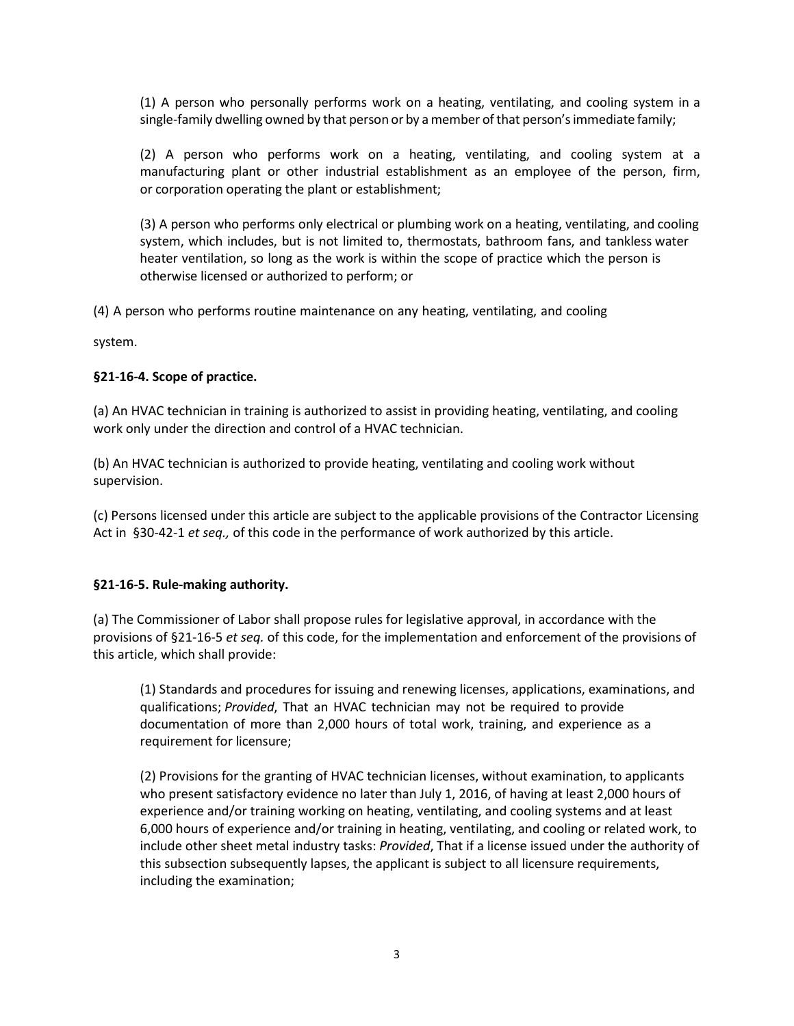(1) A person who personally performs work on a heating, ventilating, and cooling system in a single-family dwelling owned by that person or by a member of that person's immediate family;

(2) A person who performs work on a heating, ventilating, and cooling system at a manufacturing plant or other industrial establishment as an employee of the person, firm, or corporation operating the plant or establishment;

(3) A person who performs only electrical or plumbing work on a heating, ventilating, and cooling system, which includes, but is not limited to, thermostats, bathroom fans, and tankless water heater ventilation, so long as the work is within the scope of practice which the person is otherwise licensed or authorized to perform; or

(4) A person who performs routine maintenance on any heating, ventilating, and cooling

system.

### **§21-16-4. Scope of practice.**

(a) An HVAC technician in training is authorized to assist in providing heating, ventilating, and cooling work only under the direction and control of a HVAC technician.

(b) An HVAC technician is authorized to provide heating, ventilating and cooling work without supervision.

(c) Persons licensed under this article are subject to the applicable provisions of the Contractor Licensing Act in §30-42-1 *et seq.,* of this code in the performance of work authorized by this article.

### **§21-16-5. Rule-making authority.**

(a) The Commissioner of Labor shall propose rules for legislative approval, in accordance with the provisions of §21-16-5 *et seq.* of this code, for the implementation and enforcement of the provisions of this article, which shall provide:

(1) Standards and procedures for issuing and renewing licenses, applications, examinations, and qualifications; *Provided*, That an HVAC technician may not be required to provide documentation of more than 2,000 hours of total work, training, and experience as a requirement for licensure;

(2) Provisions for the granting of HVAC technician licenses, without examination, to applicants who present satisfactory evidence no later than July 1, 2016, of having at least 2,000 hours of experience and/or training working on heating, ventilating, and cooling systems and at least 6,000 hours of experience and/or training in heating, ventilating, and cooling or related work, to include other sheet metal industry tasks: *Provided*, That if a license issued under the authority of this subsection subsequently lapses, the applicant is subject to all licensure requirements, including the examination;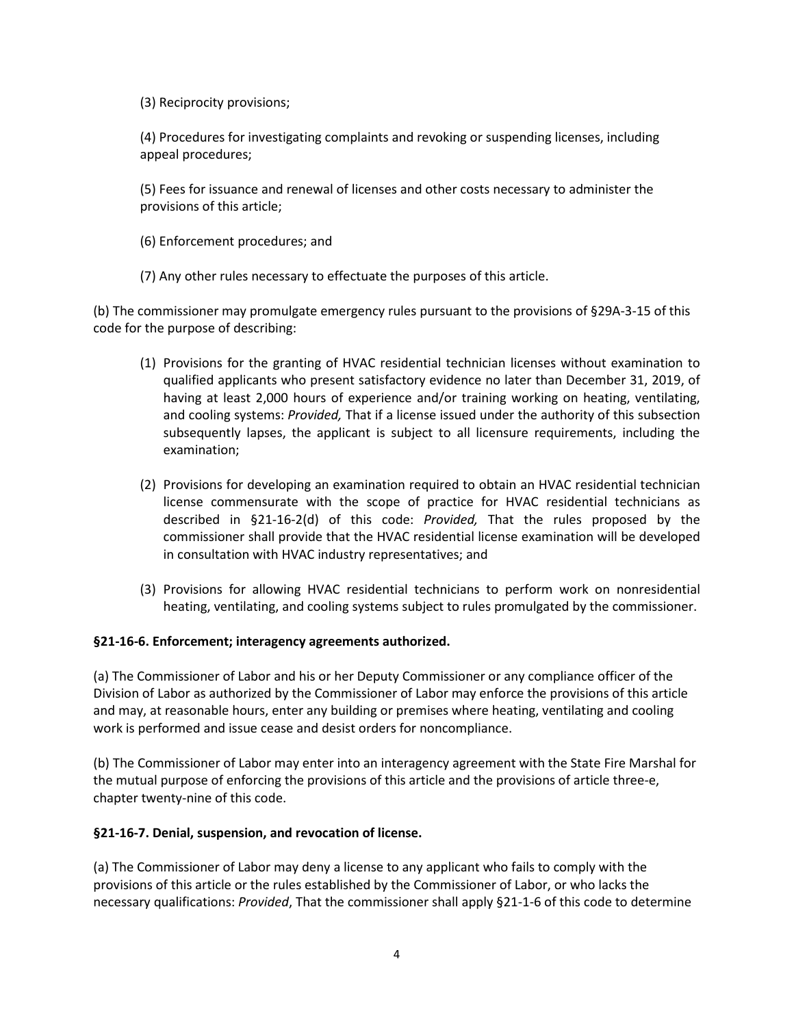(3) Reciprocity provisions;

(4) Procedures for investigating complaints and revoking or suspending licenses, including appeal procedures;

(5) Fees for issuance and renewal of licenses and other costs necessary to administer the provisions of this article;

(6) Enforcement procedures; and

(7) Any other rules necessary to effectuate the purposes of this article.

(b) The commissioner may promulgate emergency rules pursuant to the provisions of §29A-3-15 of this code for the purpose of describing:

- (1) Provisions for the granting of HVAC residential technician licenses without examination to qualified applicants who present satisfactory evidence no later than December 31, 2019, of having at least 2,000 hours of experience and/or training working on heating, ventilating, and cooling systems: *Provided,* That if a license issued under the authority of this subsection subsequently lapses, the applicant is subject to all licensure requirements, including the examination;
- (2) Provisions for developing an examination required to obtain an HVAC residential technician license commensurate with the scope of practice for HVAC residential technicians as described in §21-16-2(d) of this code: *Provided,* That the rules proposed by the commissioner shall provide that the HVAC residential license examination will be developed in consultation with HVAC industry representatives; and
- (3) Provisions for allowing HVAC residential technicians to perform work on nonresidential heating, ventilating, and cooling systems subject to rules promulgated by the commissioner.

### **§21-16-6. Enforcement; interagency agreements authorized.**

(a) The Commissioner of Labor and his or her Deputy Commissioner or any compliance officer of the Division of Labor as authorized by the Commissioner of Labor may enforce the provisions of this article and may, at reasonable hours, enter any building or premises where heating, ventilating and cooling work is performed and issue cease and desist orders for noncompliance.

(b) The Commissioner of Labor may enter into an interagency agreement with the State Fire Marshal for the mutual purpose of enforcing the provisions of this article and the provisions of article three-e, chapter twenty-nine of this code.

### **§21-16-7. Denial, suspension, and revocation of license.**

(a) The Commissioner of Labor may deny a license to any applicant who fails to comply with the provisions of this article or the rules established by the Commissioner of Labor, or who lacks the necessary qualifications: *Provided*, That the commissioner shall apply §21-1-6 of this code to determine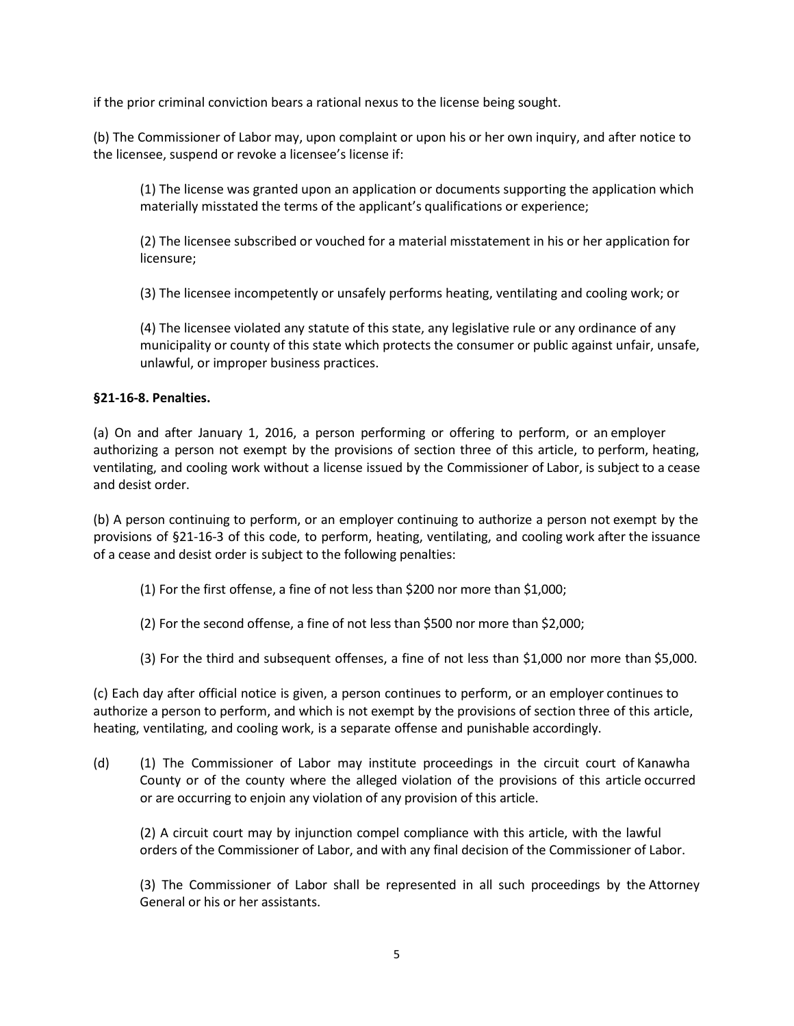if the prior criminal conviction bears a rational nexus to the license being sought.

(b) The Commissioner of Labor may, upon complaint or upon his or her own inquiry, and after notice to the licensee, suspend or revoke a licensee's license if:

(1) The license was granted upon an application or documents supporting the application which materially misstated the terms of the applicant's qualifications or experience;

(2) The licensee subscribed or vouched for a material misstatement in his or her application for licensure;

(3) The licensee incompetently or unsafely performs heating, ventilating and cooling work; or

(4) The licensee violated any statute of this state, any legislative rule or any ordinance of any municipality or county of this state which protects the consumer or public against unfair, unsafe, unlawful, or improper business practices.

### **§21-16-8. Penalties.**

(a) On and after January 1, 2016, a person performing or offering to perform, or an employer authorizing a person not exempt by the provisions of section three of this article, to perform, heating, ventilating, and cooling work without a license issued by the Commissioner of Labor, is subject to a cease and desist order.

(b) A person continuing to perform, or an employer continuing to authorize a person not exempt by the provisions of §21-16-3 of this code, to perform, heating, ventilating, and cooling work after the issuance of a cease and desist order is subject to the following penalties:

- (1) For the first offense, a fine of not less than \$200 nor more than \$1,000;
- (2) For the second offense, a fine of not less than \$500 nor more than \$2,000;
- (3) For the third and subsequent offenses, a fine of not less than \$1,000 nor more than \$5,000.

(c) Each day after official notice is given, a person continues to perform, or an employer continues to authorize a person to perform, and which is not exempt by the provisions of section three of this article, heating, ventilating, and cooling work, is a separate offense and punishable accordingly.

(d) (1) The Commissioner of Labor may institute proceedings in the circuit court of Kanawha County or of the county where the alleged violation of the provisions of this article occurred or are occurring to enjoin any violation of any provision of this article.

(2) A circuit court may by injunction compel compliance with this article, with the lawful orders of the Commissioner of Labor, and with any final decision of the Commissioner of Labor.

(3) The Commissioner of Labor shall be represented in all such proceedings by the Attorney General or his or her assistants.